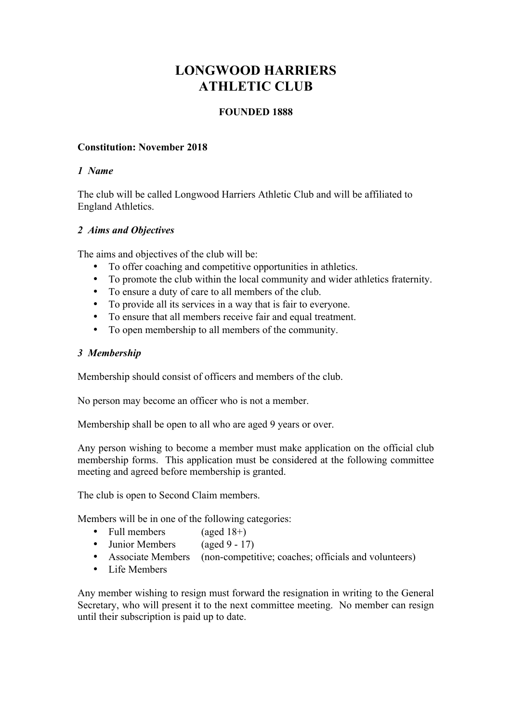# **LONGWOOD HARRIERS ATHLETIC CLUB**

# **FOUNDED 1888**

# **Constitution: November 2018**

#### *1 Name*

The club will be called Longwood Harriers Athletic Club and will be affiliated to England Athletics.

# *2 Aims and Objectives*

The aims and objectives of the club will be:

- To offer coaching and competitive opportunities in athletics.
- To promote the club within the local community and wider athletics fraternity.
- To ensure a duty of care to all members of the club.
- To provide all its services in a way that is fair to everyone.
- To ensure that all members receive fair and equal treatment.
- To open membership to all members of the community.

# *3 Membership*

Membership should consist of officers and members of the club.

No person may become an officer who is not a member.

Membership shall be open to all who are aged 9 years or over.

Any person wishing to become a member must make application on the official club membership forms. This application must be considered at the following committee meeting and agreed before membership is granted.

The club is open to Second Claim members.

Members will be in one of the following categories:

- Full members (aged 18+)
- Junior Members (aged 9 17)
- Associate Members (non-competitive; coaches; officials and volunteers)
- Life Members

Any member wishing to resign must forward the resignation in writing to the General Secretary, who will present it to the next committee meeting. No member can resign until their subscription is paid up to date.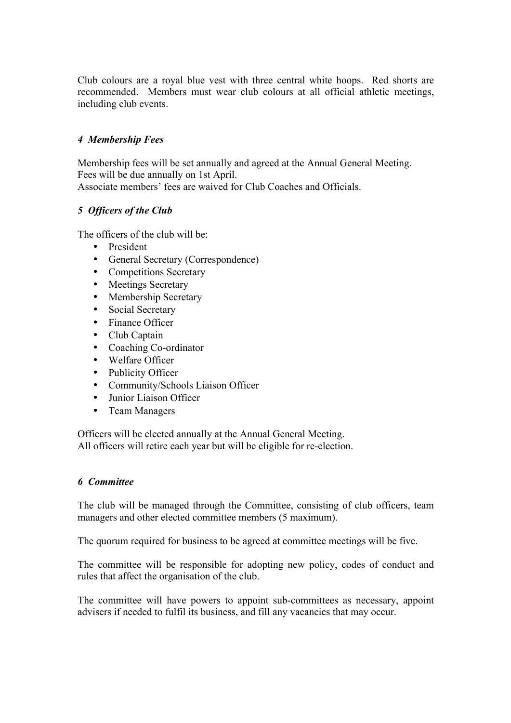Club colours are a royal blue vest with three central white hoops. Red shorts are recommended. Members must wear club colours at all official athletic meetings, including club events.

# *4 Membership Fees*

Membership fees will be set annually and agreed at the Annual General Meeting. Fees will be due annually on 1st April. Associate members' fees are waived for Club Coaches and Officials.

# *5 Officers of the Club*

The officers of the club will be:

- President
- General Secretary (Correspondence)
- Competitions Secretary
- Meetings Secretary
- Membership Secretary
- Social Secretary
- Finance Officer
- Club Captain
- Coaching Co-ordinator
- Welfare Officer
- Publicity Officer
- Community/Schools Liaison Officer
- Junior Liaison Officer
- Team Managers

Officers will be elected annually at the Annual General Meeting. All officers will retire each year but will be eligible for re-election.

#### *6 Committee*

The club will be managed through the Committee, consisting of club officers, team managers and other elected committee members (5 maximum).

The quorum required for business to be agreed at committee meetings will be five.

The committee will be responsible for adopting new policy, codes of conduct and rules that affect the organisation of the club.

The committee will have powers to appoint sub-committees as necessary, appoint advisers if needed to fulfil its business, and fill any vacancies that may occur.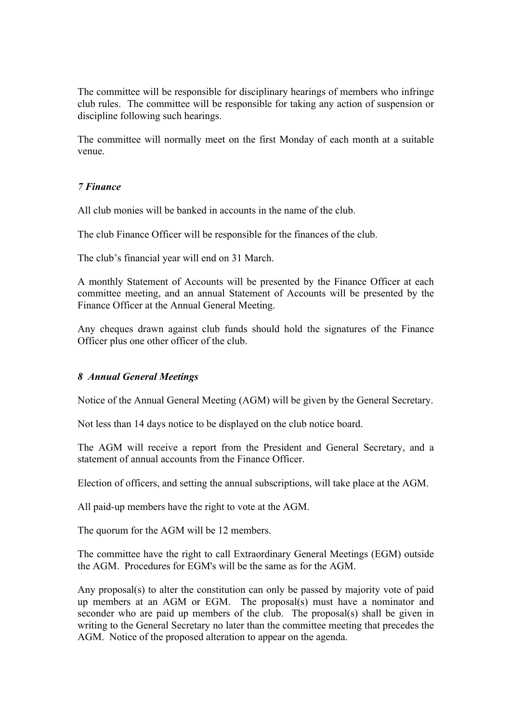The committee will be responsible for disciplinary hearings of members who infringe club rules. The committee will be responsible for taking any action of suspension or discipline following such hearings.

The committee will normally meet on the first Monday of each month at a suitable venue.

# *7 Finance*

All club monies will be banked in accounts in the name of the club.

The club Finance Officer will be responsible for the finances of the club.

The club's financial year will end on 31 March.

A monthly Statement of Accounts will be presented by the Finance Officer at each committee meeting, and an annual Statement of Accounts will be presented by the Finance Officer at the Annual General Meeting.

Any cheques drawn against club funds should hold the signatures of the Finance Officer plus one other officer of the club.

#### *8 Annual General Meetings*

Notice of the Annual General Meeting (AGM) will be given by the General Secretary.

Not less than 14 days notice to be displayed on the club notice board.

The AGM will receive a report from the President and General Secretary, and a statement of annual accounts from the Finance Officer.

Election of officers, and setting the annual subscriptions, will take place at the AGM.

All paid-up members have the right to vote at the AGM.

The quorum for the AGM will be 12 members.

The committee have the right to call Extraordinary General Meetings (EGM) outside the AGM. Procedures for EGM's will be the same as for the AGM.

Any proposal(s) to alter the constitution can only be passed by majority vote of paid up members at an AGM or EGM. The proposal(s) must have a nominator and seconder who are paid up members of the club. The proposal(s) shall be given in writing to the General Secretary no later than the committee meeting that precedes the AGM. Notice of the proposed alteration to appear on the agenda.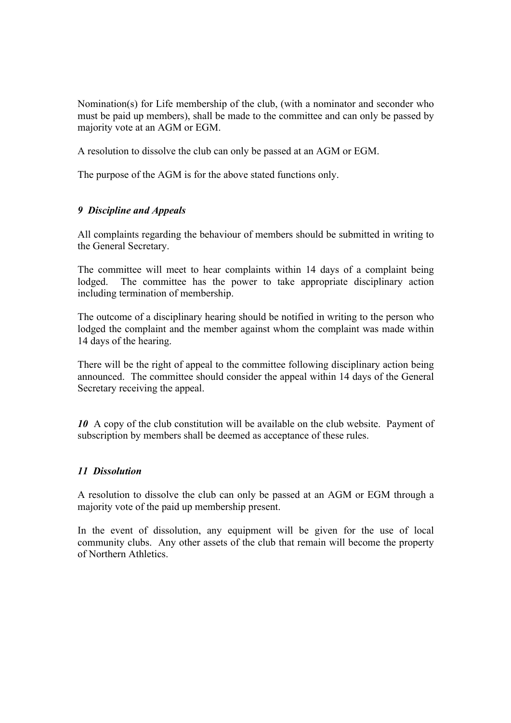Nomination(s) for Life membership of the club, (with a nominator and seconder who must be paid up members), shall be made to the committee and can only be passed by majority vote at an AGM or EGM.

A resolution to dissolve the club can only be passed at an AGM or EGM.

The purpose of the AGM is for the above stated functions only.

#### *9 Discipline and Appeals*

All complaints regarding the behaviour of members should be submitted in writing to the General Secretary.

The committee will meet to hear complaints within 14 days of a complaint being lodged. The committee has the power to take appropriate disciplinary action including termination of membership.

The outcome of a disciplinary hearing should be notified in writing to the person who lodged the complaint and the member against whom the complaint was made within 14 days of the hearing.

There will be the right of appeal to the committee following disciplinary action being announced. The committee should consider the appeal within 14 days of the General Secretary receiving the appeal.

*10* A copy of the club constitution will be available on the club website. Payment of subscription by members shall be deemed as acceptance of these rules.

#### *11 Dissolution*

A resolution to dissolve the club can only be passed at an AGM or EGM through a majority vote of the paid up membership present.

In the event of dissolution, any equipment will be given for the use of local community clubs. Any other assets of the club that remain will become the property of Northern Athletics.